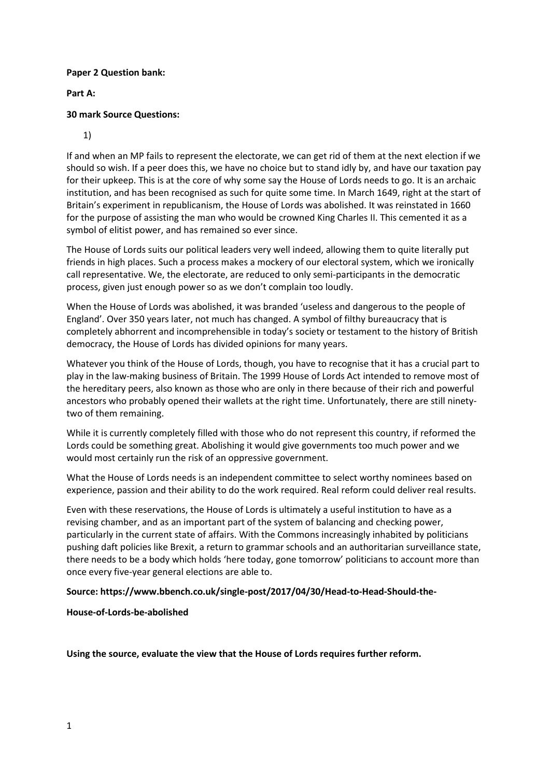### **Paper 2 Question bank:**

## **Part A:**

# **30 mark Source Questions:**

1)

If and when an MP fails to represent the electorate, we can get rid of them at the next election if we should so wish. If a peer does this, we have no choice but to stand idly by, and have our taxation pay for their upkeep. This is at the core of why some say the House of Lords needs to go. It is an archaic institution, and has been recognised as such for quite some time. In March 1649, right at the start of Britain's experiment in republicanism, the House of Lords was abolished. It was reinstated in 1660 for the purpose of assisting the man who would be crowned King Charles II. This cemented it as a symbol of elitist power, and has remained so ever since.

The House of Lords suits our political leaders very well indeed, allowing them to quite literally put friends in high places. Such a process makes a mockery of our electoral system, which we ironically call representative. We, the electorate, are reduced to only semi-participants in the democratic process, given just enough power so as we don't complain too loudly.

When the House of Lords was abolished, it was branded 'useless and dangerous to the people of England'. Over 350 years later, not much has changed. A symbol of filthy bureaucracy that is completely abhorrent and incomprehensible in today's society or testament to the history of British democracy, the House of Lords has divided opinions for many years.

Whatever you think of the House of Lords, though, you have to recognise that it has a crucial part to play in the law-making business of Britain. The 1999 House of Lords Act intended to remove most of the hereditary peers, also known as those who are only in there because of their rich and powerful ancestors who probably opened their wallets at the right time. Unfortunately, there are still ninetytwo of them remaining.

While it is currently completely filled with those who do not represent this country, if reformed the Lords could be something great. Abolishing it would give governments too much power and we would most certainly run the risk of an oppressive government.

What the House of Lords needs is an independent committee to select worthy nominees based on experience, passion and their ability to do the work required. Real reform could deliver real results.

Even with these reservations, the House of Lords is ultimately a useful institution to have as a revising chamber, and as an important part of the system of balancing and checking power, particularly in the current state of affairs. With the Commons increasingly inhabited by politicians pushing daft policies like Brexit, a return to grammar schools and an authoritarian surveillance state, there needs to be a body which holds 'here today, gone tomorrow' politicians to account more than once every five-year general elections are able to.

**Source: https://www.bbench.co.uk/single-post/2017/04/30/Head-to-Head-Should-the-**

**House-of-Lords-be-abolished**

**Using the source, evaluate the view that the House of Lords requires further reform.**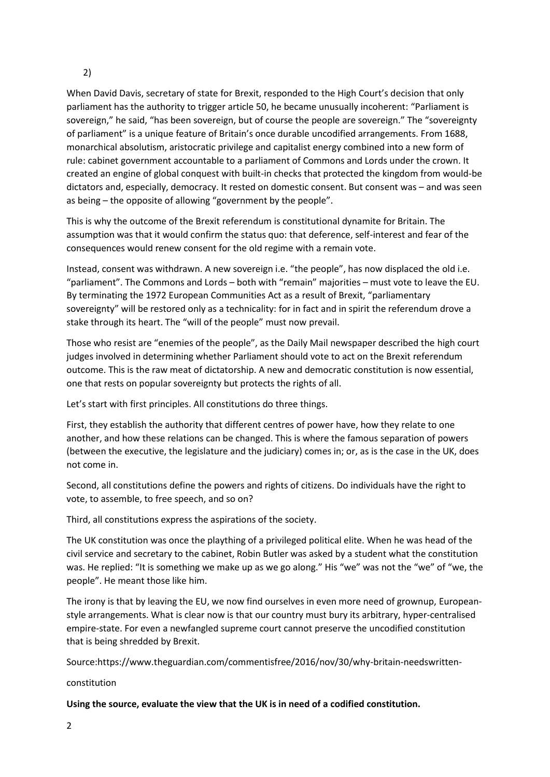## 2)

When David Davis, secretary of state for Brexit, responded to the High Court's decision that only parliament has the authority to trigger article 50, he became unusually incoherent: "Parliament is sovereign," he said, "has been sovereign, but of course the people are sovereign." The "sovereignty of parliament" is a unique feature of Britain's once durable uncodified arrangements. From 1688, monarchical absolutism, aristocratic privilege and capitalist energy combined into a new form of rule: cabinet government accountable to a parliament of Commons and Lords under the crown. It created an engine of global conquest with built-in checks that protected the kingdom from would-be dictators and, especially, democracy. It rested on domestic consent. But consent was – and was seen as being – the opposite of allowing "government by the people".

This is why the outcome of the Brexit referendum is constitutional dynamite for Britain. The assumption was that it would confirm the status quo: that deference, self-interest and fear of the consequences would renew consent for the old regime with a remain vote.

Instead, consent was withdrawn. A new sovereign i.e. "the people", has now displaced the old i.e. "parliament". The Commons and Lords – both with "remain" majorities – must vote to leave the EU. By terminating the 1972 European Communities Act as a result of Brexit, "parliamentary sovereignty" will be restored only as a technicality: for in fact and in spirit the referendum drove a stake through its heart. The "will of the people" must now prevail.

Those who resist are "enemies of the people", as the Daily Mail newspaper described the high court judges involved in determining whether Parliament should vote to act on the Brexit referendum outcome. This is the raw meat of dictatorship. A new and democratic constitution is now essential, one that rests on popular sovereignty but protects the rights of all.

Let's start with first principles. All constitutions do three things.

First, they establish the authority that different centres of power have, how they relate to one another, and how these relations can be changed. This is where the famous separation of powers (between the executive, the legislature and the judiciary) comes in; or, as is the case in the UK, does not come in.

Second, all constitutions define the powers and rights of citizens. Do individuals have the right to vote, to assemble, to free speech, and so on?

Third, all constitutions express the aspirations of the society.

The UK constitution was once the plaything of a privileged political elite. When he was head of the civil service and secretary to the cabinet, Robin Butler was asked by a student what the constitution was. He replied: "It is something we make up as we go along." His "we" was not the "we" of "we, the people". He meant those like him.

The irony is that by leaving the EU, we now find ourselves in even more need of grownup, Europeanstyle arrangements. What is clear now is that our country must bury its arbitrary, hyper-centralised empire-state. For even a newfangled supreme court cannot preserve the uncodified constitution that is being shredded by Brexit.

Source:https://www.theguardian.com/commentisfree/2016/nov/30/why-britain-needswritten-

constitution

**Using the source, evaluate the view that the UK is in need of a codified constitution.**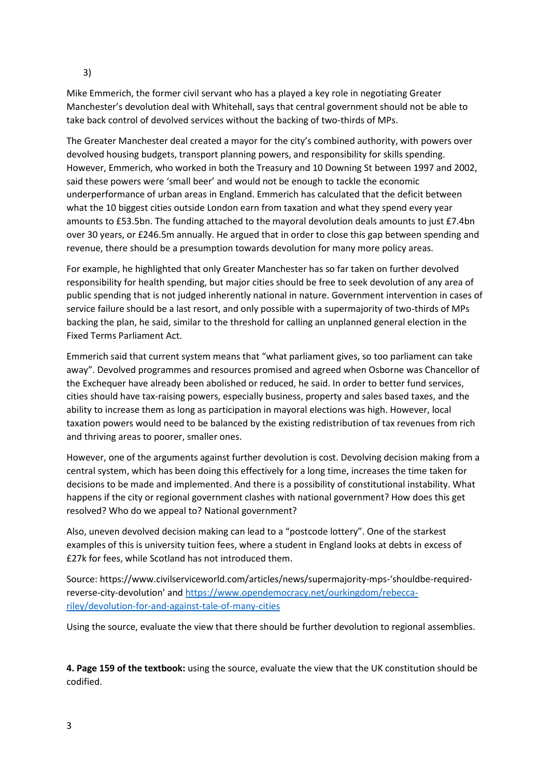3)

Mike Emmerich, the former civil servant who has a played a key role in negotiating Greater Manchester's devolution deal with Whitehall, says that central government should not be able to take back control of devolved services without the backing of two-thirds of MPs.

The Greater Manchester deal created a mayor for the city's combined authority, with powers over devolved housing budgets, transport planning powers, and responsibility for skills spending. However, Emmerich, who worked in both the Treasury and 10 Downing St between 1997 and 2002, said these powers were 'small beer' and would not be enough to tackle the economic underperformance of urban areas in England. Emmerich has calculated that the deficit between what the 10 biggest cities outside London earn from taxation and what they spend every year amounts to £53.5bn. The funding attached to the mayoral devolution deals amounts to just £7.4bn over 30 years, or £246.5m annually. He argued that in order to close this gap between spending and revenue, there should be a presumption towards devolution for many more policy areas.

For example, he highlighted that only Greater Manchester has so far taken on further devolved responsibility for health spending, but major cities should be free to seek devolution of any area of public spending that is not judged inherently national in nature. Government intervention in cases of service failure should be a last resort, and only possible with a supermajority of two-thirds of MPs backing the plan, he said, similar to the threshold for calling an unplanned general election in the Fixed Terms Parliament Act.

Emmerich said that current system means that "what parliament gives, so too parliament can take away". Devolved programmes and resources promised and agreed when Osborne was Chancellor of the Exchequer have already been abolished or reduced, he said. In order to better fund services, cities should have tax-raising powers, especially business, property and sales based taxes, and the ability to increase them as long as participation in mayoral elections was high. However, local taxation powers would need to be balanced by the existing redistribution of tax revenues from rich and thriving areas to poorer, smaller ones.

However, one of the arguments against further devolution is cost. Devolving decision making from a central system, which has been doing this effectively for a long time, increases the time taken for decisions to be made and implemented. And there is a possibility of constitutional instability. What happens if the city or regional government clashes with national government? How does this get resolved? Who do we appeal to? National government?

Also, uneven devolved decision making can lead to a "postcode lottery". One of the starkest examples of this is university tuition fees, where a student in England looks at debts in excess of £27k for fees, while Scotland has not introduced them.

Source: https://www.civilserviceworld.com/articles/news/supermajority-mps-'shouldbe-requiredreverse-city-devolution' and [https://www.opendemocracy.net/ourkingdom/rebecca](https://www.opendemocracy.net/ourkingdom/rebecca-riley/devolution-for-and-against-tale-of-many-cities)[riley/devolution-for-and-against-tale-of-many-cities](https://www.opendemocracy.net/ourkingdom/rebecca-riley/devolution-for-and-against-tale-of-many-cities)

Using the source, evaluate the view that there should be further devolution to regional assemblies.

**4. Page 159 of the textbook:** using the source, evaluate the view that the UK constitution should be codified.